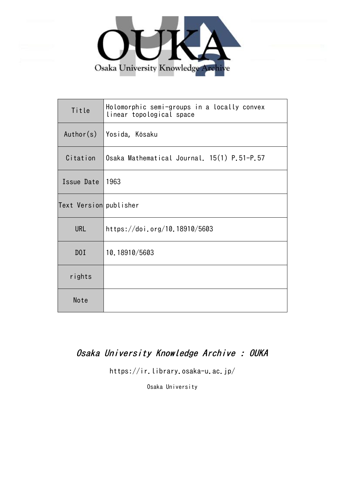

| Title                  | Holomorphic semi-groups in a locally convex<br>linear topological space |
|------------------------|-------------------------------------------------------------------------|
| Author(s)              | Yosida, Kôsaku                                                          |
| Citation               | Osaka Mathematical Journal. 15(1) P.51-P.57                             |
| Issue Date             | 1963                                                                    |
| Text Version publisher |                                                                         |
| <b>URL</b>             | https://doi.org/10.18910/5603                                           |
| DOI                    | 10.18910/5603                                                           |
| rights                 |                                                                         |
| Note                   |                                                                         |

## Osaka University Knowledge Archive : OUKA

https://ir.library.osaka-u.ac.jp/

Osaka University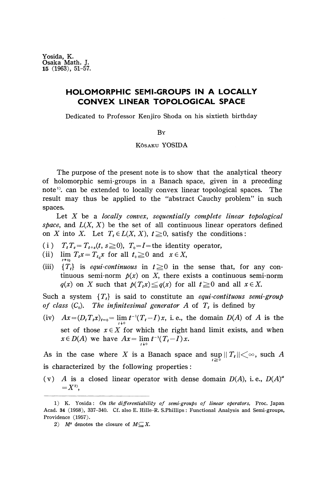Yosida, K. Osaka Math. J. 15 (1963), 51-57.

## **HOLOMORPHIC SEMI-GROUPS IN A LOCALLY CONVEX LINEAR TOPOLOGICAL SPACE**

Dedicated to Professor Kenjiro Shoda on his sixtieth birthday

BY

## KÔSAKU YOSIDA

The purpose of the present note is to show that the analytical theory of holomorphic semi-groups in a Banach space, given in a preceding note<sup>1</sup>). can be extended to locally convex linear topological spaces. The result may thus be applied to the "abstract Cauchy problem" in such spaces.

Let *X* be a *locally convex, sequentially complete linear topological space*, and  $L(X, X)$  be the set of all continuous linear operators defined on *X* into *X*. Let  $T_t \in L(X, X)$ ,  $t \ge 0$ , satisfy the conditions:

- (i)  $T_t T_s = T_{t+s}(t, s \ge 0)$ ,  $T_0 = I$  = the identity operator,
- (ii)  $\lim_{t \to \infty} T_t x = T_{t_0} x$  for all  $t_0 \ge 0$  and  $x \in X$ ,
- *t->to* (iii) *{T<sup>t</sup>*  ${T<sub>t</sub>}$  is *equi-continuous* in  $t \ge 0$  in the sense that, for any continuous semi-norm  $p(x)$  on X, there exists a continuous semi-norm  $q(x)$  on *X* such that  $p(T_t x) \leq q(x)$  for all  $t \geq 0$  and all  $x \in X$ .

Such a system *{T<sup>t</sup> }* is said to constitute an *equi-contituous semi-group of class*  $(C_0)$ . The *infinitesimal generator A* of  $T_t$  is defined by

(iv)  $Ax = (D_t T_t x)_{t=0} = \lim_{h \to 0} t^{-1}(T_t - I)x$ , i.e., the domain  $D(A)$  of A is the set of those  $x \in X$  for which the right hand limit exists, and when  $x \in D(A)$  we have  $Ax = \lim_{t \to 0} t^{-1}(T_t - I)x$ .

As in the case where X is a Banach space and  $\sup_{t \ge 0} ||T_t|| < \infty$ , such A is characterized by the following properties:

(v) A is a closed linear operator with dense domain  $D(A)$ , i.e.,  $D(A)^a$  $=X^{2}$ <sup>2</sup>

<sup>1)</sup> K. Yosida: *On the differentiability of semi-groups of linear operators,* Proc. Japan Acad. 34 (1958), 337-340. Cf. also E. Hille-R. S.Phillips: Functional Analysis and Semi-groups, Providence (1957).

<sup>2)</sup>  $M^a$  denotes the closure of  $M \subseteq X$ .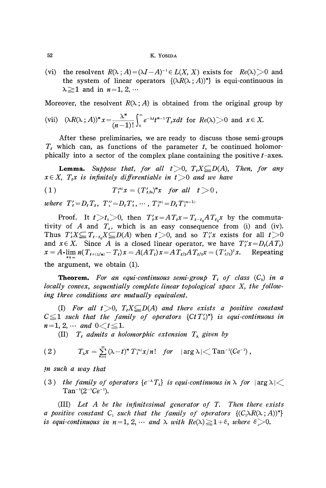## 52 K. YOSIDA

(vi) the resolvent  $R(\lambda; A) = (\lambda I - A)^{-1} \in L(X, X)$  exists for  $Re(\lambda) > 0$  and the system of linear operators  $\{(\lambda R(\lambda ; A))^n\}$  is equi-continuous in  $\lambda \geq 1$  and in  $n = 1, 2, \cdots$ 

Moreover, the resolvent  $R(\lambda; A)$  is obtained from the original group by

(vii) 
$$
(\lambda R(\lambda; A))^n x = \frac{\lambda^n}{(n-1)!} \int_0^\infty e^{-\lambda t} t^{n-1} T_t x dt
$$
 for  $Re(\lambda) > 0$  and  $x \in X$ .

After these preliminaries, we are ready to discuss those semi-groups  $T_t$  which can, as functions of the parameter  $t$ , be continued holomor phically into a sector of the complex plane containing the positive  $t$ -axes.

**Lemma.** Suppose that, for all  $t > 0$ ,  $T_t X \subseteq D(A)$ , Then, for any  $x \in X$ ,  $T_t x$  is infinitely differentiable in  $t > 0$  and we have

$$
(1) \tT_t^{(n)}x=(T'_{t/n})^nx \tfor all t>0,
$$

 $where \ T'_{t} = D_{t}T_{t}, \ T''_{t} = D_{t}T'_{t}, \cdots, T^{(n)}_{t} = D_{t}T^{(n-1)}_{t}$ 

Proof. It  $t > t_0 > 0$ , then  $T'_t x = AT_t x = T_{t-t_0}AT_{t_0}x$  by the commuta tivity of  $A$  and  $T_s$ , which is an easy consequence from (i) and (iv). Thus  $T'_t X \!\!\subseteq\! T_{t-t_0} X \!\!\subseteq\! D(A)$  when  $t \!\!>\!\! 0,$  and so  $T''_t x$  exists for all  $t \!\!>\!\! 0$ and  $x \in X$ . Since A is a closed linear operator, we have  $T''_t x = D_t (AT_t)$  $x = A \cdot \lim_{t \to \infty} n(T_{t+(1/n)} - T_t)x = A(AT_t)x = AT_{t/2}AT_{t/2}x = (T'_{t/2})$ *x.* Repeating  $n \uparrow \infty$ the argument, we obtain (1).

**Theorem.** For an equi-continuous semi-group  $T_t$  of class  $(C_0)$  in a *locally convex, sequentially complete linear topological space X, the following three conditions are mutually equivalent.*

(I) For all  $t>0$ ,  $T_tX\subseteq D(A)$  and there exists a positive constant  $\leq$  **1** such that the family of operators  ${CtT'}$ ,  $n$  is equi-continuous in  $n=1, 2, \cdots$  and  $0 < t \leq 1$ .

(II)  $T_t$  admits a holomorphic extension  $T_\lambda$  given by

$$
(2) \tT_{\lambda}x=\sum_{n=0}^{\infty}(\lambda-t)^{n}T_{t}^{(n)}x/n! \text{ for } |\arg \lambda|<\mathrm{Tan}^{-1}(Ce^{-1}),
$$

*}n such a way that*

(3) the family of operators  $\{e^{-\lambda}T_\lambda\}$  is equi-continuous in  $\lambda$  for  $|\arg \lambda|$  $Tan^{-1}(2^{-1}Ce^{-1}).$ 

**(Ill)** *Let A be the infinitesimal generator of T. Then there exists a* positive constant  $C_1$  such that the family of operators  $\{(C_1 \lambda R(\lambda ; A))^n\}$ *is equi-continuous in n*=1, 2,  $\cdots$  and  $\lambda$  with  $Re(\lambda) \geq 1+\epsilon$ , where  $\epsilon > 0$ .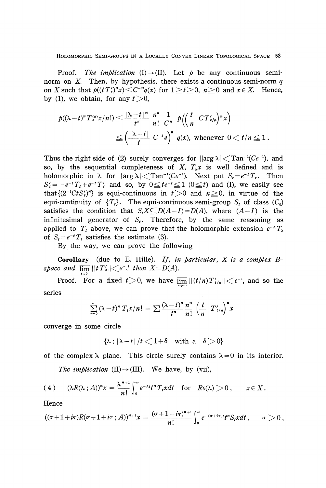HOLOMORPHIC SEMI-GROUPS IN A LOCALLY CONVEX LINEAR TOPOLOGICAL SPACE 53

Proof. *The implication* (I) $\rightarrow$ (II). Let *p* be any continuous seminorm on X. Then, by hypothesis, there exists a continuous semi-norm q on *X* such that  $p((tT'_i)^*x) \le C^{-n}q(x)$  for  $1 \ge t \ge 0$ ,  $n \ge 0$  and  $x \in X$ . Hence, by (1), we obtain, for any  $t > 0$ ,

$$
p((\lambda-t)^n T_t^{(n)} x/n!) \leq \frac{|\lambda-t|^n}{t^n} \frac{n^n}{n!} \frac{1}{C^n} p\left(\left(\frac{t}{n} CT_{t/n}'\right)^n x\right)
$$
  

$$
\leq \left(\frac{|\lambda-t|}{t} C^{-1} e\right)^n q(x), \text{ whenever } 0 < t/n \leq 1.
$$

Thus the right side of (2) surely converges for  $\left|\arg \lambda\right| \right| <$  Tan<sup>-1</sup>(Ce<sup>-1</sup>), and so, by the sequential completeness of X,  $T_{\lambda}x$  is well defined and is holomorphic in  $\lambda$  for  $|\arg \lambda| <$  Tan<sup>-1</sup>(Ce<sup>-1</sup>). Next put  $S_t = e^{-t}T_t$ . Then  $S'_{t} = -e^{-t}T_{t} + e^{-t}T'_{t}$  and so, by  $0 \leq te^{-t} \leq 1$  ( $0 \leq t$ ) and (I), we easily see that  $\{(2^{-1}C tS_i')^n\}$  is equi-continuous in  $t>0$  and  $n\geq 0$ , in virtue of the equi-continuity of  $\{T_t\}$ . The equi-continuous semi-group  $S_t$  of class  $(C_0)$ satisfies the condition that  $S_t X \subseteq D(A-I) = D(A)$ , where  $(A-I)$  is the infinitesimal generator of *S<sup>t</sup> .* Therefore, by the same reasoning as applied to  $T_t$  above, we can prove that the holomorphic extension  $e^{-\lambda}T$ of  $S_t = e^{-t}T_t$  satisfies the estimate (3).

By the way, we can prove the following

**Corollary** (due to E. Hille). If, in particular, X is a complex B- $\emph{space and} \ \ \overline{\lim} \, ||t \, T'_{t}|| \triangleleft e^{- \, , \, t} \ \emph{then} \ \ X \! = \! D(A).$ 

Proof. For a fixed  $t > 0$ , we have  $\overline{\lim}_{n \to \infty} ||(t/n) T'_{t/n}|| \leq e^{-1}$ , and so the series

$$
\sum_{n=0}^{\infty} (\lambda - t)^n T_t x/n! = \sum \frac{(\lambda - t)^n}{t^n} \frac{n^n}{n!} \left(\frac{t}{n} T'_{t/n}\right)^n x
$$

converge in some circle

$$
\{\lambda\,;\,|\lambda-t|\,/t\,{<}\,1\,{+}\,\delta\quad\text{with a}\quad\delta\,{>}\,0\}
$$

of the complex  $\lambda$ -plane. This circle surely contains  $\lambda = 0$  in its interior.

*The implication* (II) $\rightarrow$ (III). We have, by (vii),

(4) 
$$
(\lambda R(\lambda \,;\,A))^n x = \frac{\lambda^{n+1}}{n!} \int_0^\infty e^{-\lambda t} t^n T_t x dt \quad \text{for} \quad Re(\lambda) > 0 \,, \qquad x \in X \,.
$$

Hence

$$
((\sigma+1+i\tau)R(\sigma+1+i\tau;A))^{n+1}x=\frac{(\sigma+1+i\tau)^{n+1}}{n!}\int_0^\infty e^{-(\sigma+i\tau)t}t^nS_t xdt\,,\qquad \sigma>0\,,
$$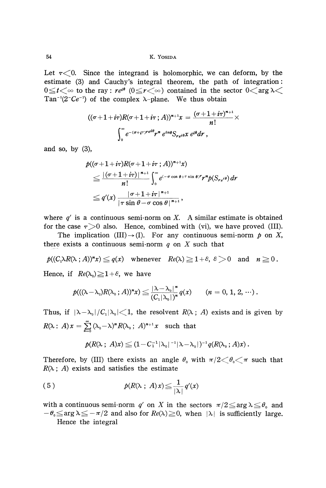Let  $\tau$ <0. Since the integrand is holomorphic, we can deform, by the estimate (3) and Cauchy's integral theorem, the path of integration:  $0 \le t < \infty$  to the ray:  $re^{i\theta}$  ( $0 \le r < \infty$ ) contained in the sector Tan<sup>-1</sup>(2<sup>-</sup>Ce<sup>-1</sup>) of the complex  $\lambda$ -plane. We thus obtain

$$
((\sigma+1+i\tau)R(\sigma+1+i\tau;A))^{n+1}x=\frac{(\sigma+1+i\tau)^{n+1}}{n!}\times\\\int_{0}^{\infty}e^{-(\sigma+i\tau)^{ref\theta}}r^{n}e^{in\theta}S_{re^{i\theta}}x e^{i\theta}dr,
$$

and so, by (3),

$$
\begin{aligned} &p((\sigma+1+i\tau)R(\sigma+1+i\tau;A))^{n+1}x)\\ &\leq \frac{|\left(\sigma+1+i\tau\right)|^{n+1}}{n!}\int_{0}^{\infty}e^{(-\sigma\cos\theta+\tau\sin\theta)^{r}}r^{n}p(S_{re}i\theta)\,dr\\ &\leq q'(x)\,\frac{|\sigma+1+i\tau|^{n+1}}{|\tau\sin\theta-\sigma\cos\theta|^{n+1}}, \end{aligned}
$$

where  $q'$  is a continuous semi-norm on X. A similar estimate is obtained for the case  $\tau > 0$  also. Hence, combined with (vi), we have proved (III).

The implication (III) $\rightarrow$ (I). For any continuous semi-norm *p* on *X*, there exists a continuous semi-norm *q* on *X* such that

$$
p((C_1 \lambda R(\lambda : A))^n x) \leq q(x)
$$
 whenever  $Re(\lambda) \geq 1 + \varepsilon$ ,  $\varepsilon > 0$  and  $n \geq 0$ .

Hence, if  $Re(\lambda_0) \geq 1+\varepsilon$ , we have

$$
p(((\lambda - \lambda_{0})R(\lambda_{0} : A))^{n} x) \leq \frac{|\lambda - \lambda_{0}|^{n}}{(C_{1}|\lambda_{0}|)^{n}} q(x) \qquad (n = 0, 1, 2, \cdots).
$$

Thus, if  $|\lambda - \lambda_0|/C_1|\lambda_0| \leq 1$ , the resolvent  $R(\lambda; A)$  exists and is given by  $iR(\lambda : A)x = \sum_{n=0}^{\infty} (\lambda_0 - \lambda)^n R(\lambda_0 : A)^{n+1}x$  such that

$$
p(R(\lambda \; ; \; A)x) \leq (1 - C_1^{-1} |\lambda_0|^{-1} |\lambda - \lambda_0|)^{-1} q(R(\lambda_0 \; ; A)x).
$$

Therefore, by (III) there exists an angle  $\theta$ <sup>0</sup> with  $\pi/2 \leq \theta$ <sub>0</sub> $<$   $\pi$  such that  $R(\lambda ; A)$  exists and satisfies the estimate

(5) 
$$
p(R(\lambda \ ; \ A)x) \leq \frac{1}{|\lambda|} q'(x)
$$

with a continuous semi-norm  $q'$  on  $X$  in the sectors  $\pi/2{\leq}\arg\lambda{\leq}\theta_\text{o}$  and  $-\theta$ <sub>0</sub> $\le$  arg  $\lambda$   $\le$   $-\pi/2$  and also for  $Re(\lambda)$   $\geq$  0, when  $|\lambda|$  is sufficiently large. Hence the integral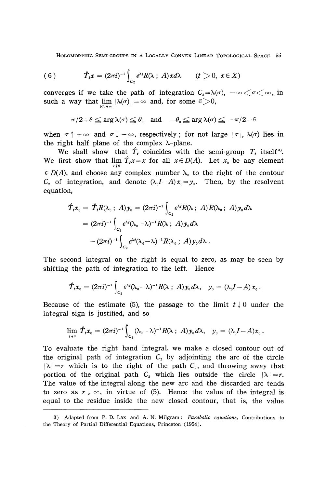HOLOMORPHIC SEMI-GROUPS IN A LOCALLY CONVEX LINEAR TOPOLOGICAL SPACE 55

(6) 
$$
\hat{T}_t x = (2\pi i)^{-1} \int_{C_2} e^{\lambda t} R(\lambda; A) x d\lambda \qquad (t > 0, \ x \in X)
$$

converges if we take the path of integration  $C_2 = \lambda(\sigma)$ ,  $-\infty < \sigma < \infty$ , in such a way that  $\lim_{|\sigma| \to \infty} |\lambda(\sigma)| = \infty$  and, for some  $\epsilon > 0$ ,

$$
\pi/2 + \varepsilon \le \arg \lambda(\sigma) \le \theta_0 \quad \text{and} \quad -\theta_0 \le \arg \lambda(\sigma) \le -\pi/2 - \varepsilon
$$

when  $\sigma \uparrow +\infty$  and  $\sigma \downarrow -\infty$ , respectively; for not large  $|\sigma|$ ,  $\lambda(\sigma)$  lies in the right half plane of the complex  $\lambda$ -plane.

We shall show that  $\hat{T}_t$  coincides with the semi-group  $T_t$  itself<sup>3</sup>. We first show that  $\lim_{x \to \infty} \hat{T}_t x = x$  for all  $x \in D(A)$ . Let  $x_0$  be any element  $\in$  *D(A)*, and choose any complex number  $\lambda_0$  to the right of the contour  $C_2$  of integration, and denote  $(\lambda_0 I - A)x_0 = y_0$ . Then, by the resolvent equation,

$$
\hat{T}_t x_0 = \hat{T}_t R(\lambda_0; A) y_0 = (2\pi i)^{-1} \int_{C_2} e^{\lambda t} R(\lambda; A) R(\lambda_0; A) y_0 d\lambda
$$
  
=  $(2\pi i)^{-1} \int_{C_2} e^{\lambda t} (\lambda_0 - \lambda)^{-1} R(\lambda; A) y_0 d\lambda$   
 $- (2\pi i)^{-1} \int_{C_2} e^{\lambda t} (\lambda_0 - \lambda)^{-1} R(\lambda_0; A) y_0 d\lambda.$ 

The second integral on the right is equal to zero, as may be seen by shifting the path of integration to the left. Hence

$$
\hat{T}_t x_0 = (2\pi i)^{-1} \int_{C_2} e^{\lambda t} (\lambda_0 - \lambda)^{-1} R(\lambda \; ; \; A) \, y_0 \, d\lambda, \quad y_0 = (\lambda_0 I - A) \, x_0 \, .
$$

Because of the estimate (5), the passage to the limit  $t \downarrow 0$  under the integral sign is justified, and so

$$
\lim_{t\to 0} \hat{T}_t x_0 = (2\pi i)^{-1} \int_{C_2} (\lambda_0 - \lambda)^{-1} R(\lambda \; ; \; A) \, y_0 \, d\lambda, \quad y_0 = (\lambda_0 I - A) x_0 \, .
$$

To evaluate the right hand integral, we make a closed contour out of the original path of integration  $C<sub>2</sub>$  by adjointing the arc of the circle  $|\lambda| = r$  which is to the right of the path  $C_2$ , and throwing away that portion of the original path  $C_2$  which lies outside the circle  $|\lambda| = r$ . The value of the integral along the new arc and the discarded arc tends to zero as  $r \downarrow \infty$ , in virtue of (5). Hence the value of the integral is equal to the residue inside the new closed contour, that is, the value

<sup>3)</sup> Adapted from P. D. Lax and A. N. Milgram: *Parabolic equations,* Contributions to the Theory of Partial Differential Equations, Princeton (1954).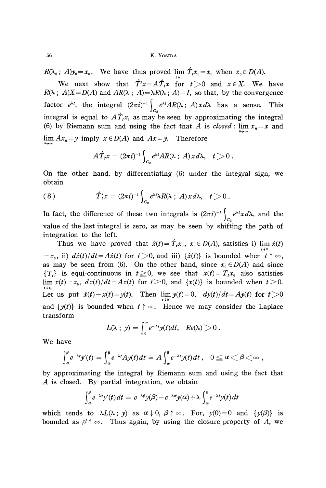$R(\lambda_0; A)y_0 = x_0$ . We have thus proved lim  $\hat{T}_t x_0 = x_0$  when  $x_0 \in D(A)$ .

We next show that  $\hat{T}'x = A\hat{T}_t x$  for  $t > 0$  and  $x \in X$ . We have  $R(\lambda; A)X=D(A)$  and  $AR(\lambda; A)=\lambda R(\lambda; A)-I$ , so that, by the convergence factor *e λt z*, the integral  $(2\pi i)^{-1} \int e^{\lambda t} A R(\lambda; A) x d\lambda$  has a sense. This  $\frac{1}{2}$ integral is equal to  $A_I_t x$ , as may be seen by approximating the integral<br>(6) by Diamana aum and using the fact that A is alsoed; lim use and (6) by Riemann sum and using the fact that *A* is *closed*:  $\lim x_n = x$  and  $\lim Ax_n = y$  imply  $x \in D(A)$  and  $Ax = y$ . Therefore

$$
A\hat{T}_t x = (2\pi i)^{-1} \int_{C_2} e^{\lambda t} AR(\lambda \, ; \, A) \, x \, d\lambda, \quad t > 0 \, .
$$

On the other hand, by differentiating (6) under the integral sign, we obtain

(8) 
$$
\hat{T}'_t x = (2\pi i)^{-1} \int_{C_2} e^{\lambda t} \lambda R(\lambda \, ; \, A) x d\lambda, \quad t > 0.
$$

In fact, the difference of these two integrals is  $(2\pi i)^{-1} \begin{cases} e^{\lambda t}x d\lambda, \end{cases}$  and the *Jc2* value of the last integral is zero, as may be seen by shifting the path of integration to the left.

Thus we have proved that  $\hat{x}(t) = T_t x_0$ ,  $x_0 \in D(A)$ , satisfies i)  $\lim_{t \to 0} \hat{x}(t)$  $= x_0$ , ii)  $d\hat{x}(t)/dt = A\hat{x}(t)$  for  $t > 0$ , and iii)  $\{\hat{x}(t)\}\$ is bounded when  $t \uparrow \infty$ , as may be seen from (6). On the other hand, since  $x_0 \in D(A)$  and since  ${T_t}$  is equi-continuous in  $t \ge 0$ , we see that  $x(t) = T_t x_0$  also satisfies  $\lim_{t \to t_0} x(t) = x_0$ ,  $dx(t)/dt = Ax(t)$  for  $t \ge 0$ , and  $\{x(t)\}\$ is bounded when  $t \ge 0$ . Let us put  $\hat{x}(t) - x(t) = y(t)$ . Then  $\lim_{t \to 0} y(t) = 0$ ,  $dy(t)/dt = Ay(t)$  for t and  $\{y(t)\}\$ is bounded when  $t \uparrow \infty$ . Hence we may consider the Laplace transform

$$
L(\lambda \; ; \; y) = \int_0^\infty e^{-\lambda t} y(t) dt, \quad Re(\lambda) > 0.
$$

We have

$$
\int_{a}^{b} e^{-\lambda t} y'(t) = \int_{a}^{b} e^{-\lambda t} A y(t) dt = A \int_{a}^{b} e^{-\lambda t} y(t) dt, \quad 0 \le \alpha < \beta < \infty,
$$

by approximating the integral by Riemann sum and using the fact that *A* is closed. By partial integration, we obtain

$$
\int_{\alpha}^{\beta} e^{-\lambda t} y'(t) dt = e^{-\lambda \beta} y(\beta) - e^{-\lambda \alpha} y(\alpha) + \lambda \int_{\alpha}^{\beta} e^{-\lambda t} y(t) dt
$$

which tends to  $\lambda L(\lambda; y)$  as  $\alpha \downarrow 0$ ,  $\beta \uparrow \infty$ . For,  $y(0) = 0$  and  $\{y(\beta)\}\)$  is bounded as  $\beta \uparrow \infty$ . Thus again, by using the closure property of  $A$ , we